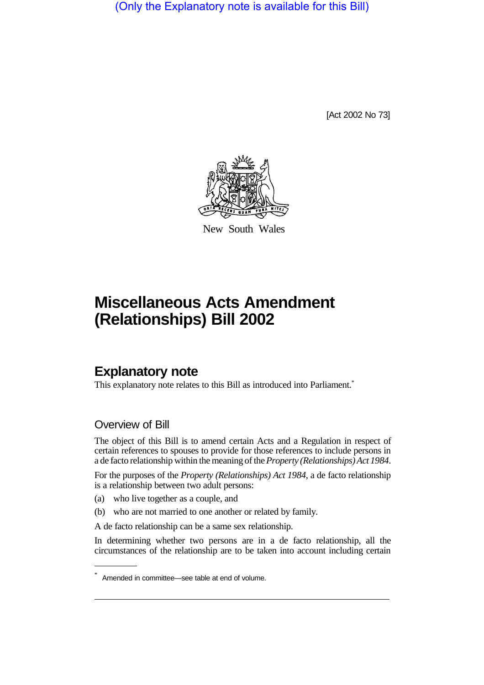(Only the Explanatory note is available for this Bill)

[Act 2002 No 73]



New South Wales

## **Miscellaneous Acts Amendment (Relationships) Bill 2002**

## **Explanatory note**

This explanatory note relates to this Bill as introduced into Parliament.\*

## Overview of Bill

The object of this Bill is to amend certain Acts and a Regulation in respect of certain references to spouses to provide for those references to include persons in a de facto relationship within the meaning of the*Property (Relationships) Act 1984*.

For the purposes of the *Property (Relationships) Act 1984*, a de facto relationship is a relationship between two adult persons:

- (a) who live together as a couple, and
- (b) who are not married to one another or related by family.

A de facto relationship can be a same sex relationship.

In determining whether two persons are in a de facto relationship, all the circumstances of the relationship are to be taken into account including certain

Amended in committee—see table at end of volume.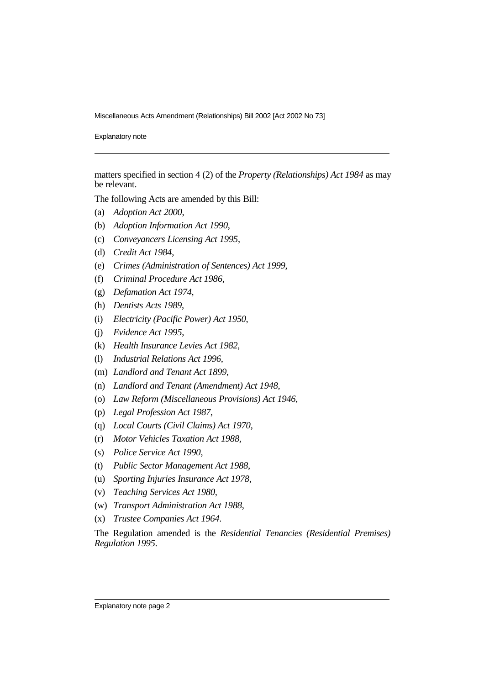Miscellaneous Acts Amendment (Relationships) Bill 2002 [Act 2002 No 73]

Explanatory note

matters specified in section 4 (2) of the *Property (Relationships) Act 1984* as may be relevant.

The following Acts are amended by this Bill:

- (a) *Adoption Act 2000*,
- (b) *Adoption Information Act 1990*,
- (c) *Conveyancers Licensing Act 1995*,
- (d) *Credit Act 1984*,
- (e) *Crimes (Administration of Sentences) Act 1999*,
- (f) *Criminal Procedure Act 1986,*
- (g) *Defamation Act 1974*,
- (h) *Dentists Acts 1989*,
- (i) *Electricity (Pacific Power) Act 1950*,
- (j) *Evidence Act 1995*,
- (k) *Health Insurance Levies Act 1982*,
- (l) *Industrial Relations Act 1996*,
- (m) *Landlord and Tenant Act 1899*,
- (n) *Landlord and Tenant (Amendment) Act 1948*,
- (o) *Law Reform (Miscellaneous Provisions) Act 1946*,
- (p) *Legal Profession Act 1987*,
- (q) *Local Courts (Civil Claims) Act 1970*,
- (r) *Motor Vehicles Taxation Act 1988*,
- (s) *Police Service Act 1990*,
- (t) *Public Sector Management Act 1988*,
- (u) *Sporting Injuries Insurance Act 1978*,
- (v) *Teaching Services Act 1980*,
- (w) *Transport Administration Act 1988*,
- (x) *Trustee Companies Act 1964*.

The Regulation amended is the *Residential Tenancies (Residential Premises) Regulation 1995*.